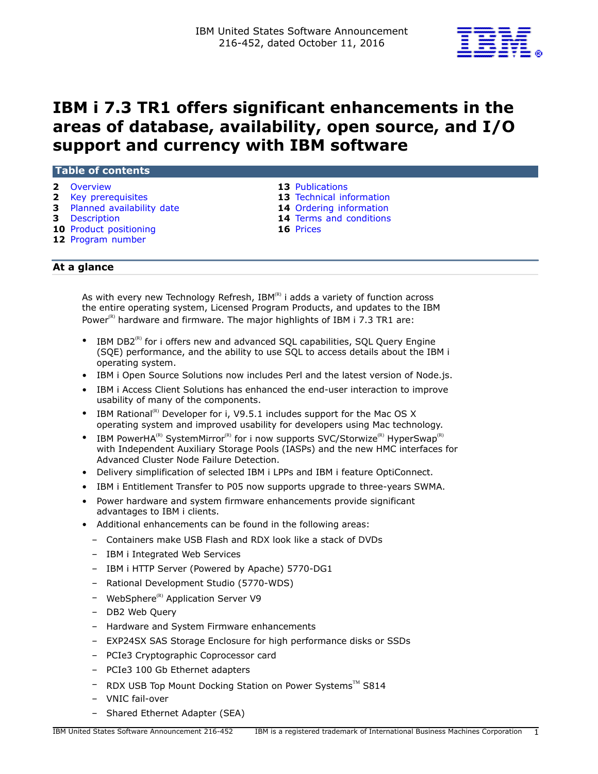

# **IBM i 7.3 TR1 offers significant enhancements in the areas of database, availability, open source, and I/O support and currency with IBM software**

#### **Table of contents**

- 
- 
- **3** [Planned availability date](#page-2-0) **14** [Ordering information](#page-13-0)
- 
- **10** [Product positioning](#page-9-0) **16** [Prices](#page-15-0)
- **12** [Program number](#page-11-0)
- **2** [Overview](#page-1-0) **13** [Publications](#page-12-0)
- **2** [Key prerequisites](#page-1-1) **13** [Technical information](#page-12-1)
	-
- **3** [Description](#page-2-1) **14** [Terms and conditions](#page-13-1)
	-

# **At a glance**

As with every new Technology Refresh,  $IBM^{(R)}$  i adds a variety of function across the entire operating system, Licensed Program Products, and updates to the IBM Power<sup>(R)</sup> hardware and firmware. The major highlights of IBM i 7.3 TR1 are:

- IBM DB2 $^{(R)}$  for i offers new and advanced SOL capabilities, SOL Query Engine (SQE) performance, and the ability to use SQL to access details about the IBM i operating system.
- IBM i Open Source Solutions now includes Perl and the latest version of Node.js.
- IBM i Access Client Solutions has enhanced the end-user interaction to improve usability of many of the components.
- IBM Rational<sup>(R)</sup> Developer for i, V9.5.1 includes support for the Mac OS X operating system and improved usability for developers using Mac technology.
- IBM PowerHA<sup>(R)</sup> SystemMirror<sup>(R)</sup> for i now supports SVC/Storwize<sup>(R)</sup> HyperSwap<sup>(R)</sup> with Independent Auxiliary Storage Pools (IASPs) and the new HMC interfaces for Advanced Cluster Node Failure Detection.
- Delivery simplification of selected IBM i LPPs and IBM i feature OptiConnect.
- IBM i Entitlement Transfer to P05 now supports upgrade to three-years SWMA.
- Power hardware and system firmware enhancements provide significant advantages to IBM i clients.
- Additional enhancements can be found in the following areas:
	- Containers make USB Flash and RDX look like a stack of DVDs
	- IBM i Integrated Web Services
	- IBM i HTTP Server (Powered by Apache) 5770-DG1
	- Rational Development Studio (5770-WDS)
	- WebSphere<sup>(R)</sup> Application Server V9
	- DB2 Web Query
	- Hardware and System Firmware enhancements
	- EXP24SX SAS Storage Enclosure for high performance disks or SSDs
	- PCIe3 Cryptographic Coprocessor card
	- PCIe3 100 Gb Ethernet adapters
	- RDX USB Top Mount Docking Station on Power Systems™ S814
	- VNIC fail-over
	- Shared Ethernet Adapter (SEA)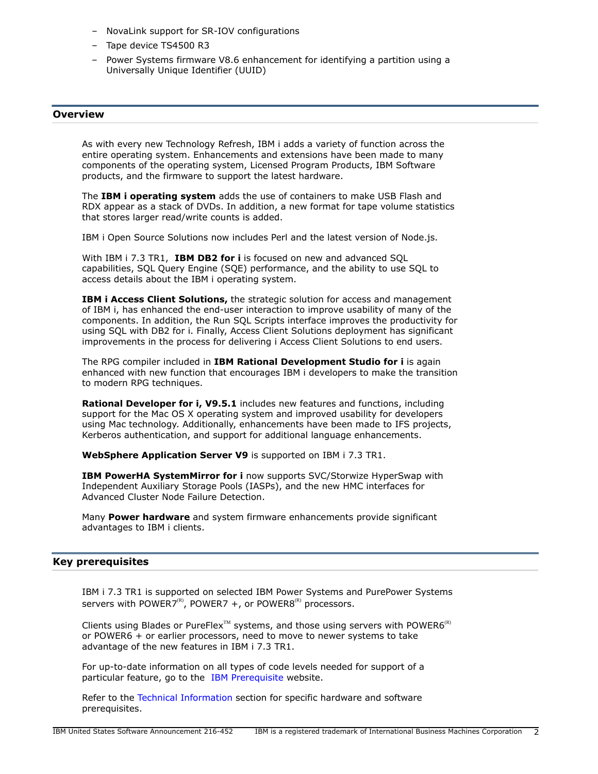- NovaLink support for SR-IOV configurations
- Tape device TS4500 R3
- Power Systems firmware V8.6 enhancement for identifying a partition using a Universally Unique Identifier (UUID)

#### <span id="page-1-0"></span>**Overview**

As with every new Technology Refresh, IBM i adds a variety of function across the entire operating system. Enhancements and extensions have been made to many components of the operating system, Licensed Program Products, IBM Software products, and the firmware to support the latest hardware.

The **IBM i operating system** adds the use of containers to make USB Flash and RDX appear as a stack of DVDs. In addition, a new format for tape volume statistics that stores larger read/write counts is added.

IBM i Open Source Solutions now includes Perl and the latest version of Node.js.

With IBM i 7.3 TR1, **IBM DB2 for i** is focused on new and advanced SQL capabilities, SQL Query Engine (SQE) performance, and the ability to use SQL to access details about the IBM i operating system.

**IBM i Access Client Solutions,** the strategic solution for access and management of IBM i, has enhanced the end-user interaction to improve usability of many of the components. In addition, the Run SQL Scripts interface improves the productivity for using SQL with DB2 for i. Finally, Access Client Solutions deployment has significant improvements in the process for delivering i Access Client Solutions to end users.

The RPG compiler included in **IBM Rational Development Studio for i** is again enhanced with new function that encourages IBM i developers to make the transition to modern RPG techniques.

**Rational Developer for i, V9.5.1** includes new features and functions, including support for the Mac OS X operating system and improved usability for developers using Mac technology. Additionally, enhancements have been made to IFS projects, Kerberos authentication, and support for additional language enhancements.

**WebSphere Application Server V9** is supported on IBM i 7.3 TR1.

**IBM PowerHA SystemMirror for i** now supports SVC/Storwize HyperSwap with Independent Auxiliary Storage Pools (IASPs), and the new HMC interfaces for Advanced Cluster Node Failure Detection.

Many **Power hardware** and system firmware enhancements provide significant advantages to IBM i clients.

#### <span id="page-1-1"></span>**Key prerequisites**

IBM i 7.3 TR1 is supported on selected IBM Power Systems and PurePower Systems servers with POWER7<sup>(R)</sup>, POWER7 +, or POWER8<sup>(R)</sup> processors.

Clients using Blades or PureFlex<sup>™</sup> systems, and those using servers with POWER6<sup>(R)</sup> or POWER6 + or earlier processors, need to move to newer systems to take advantage of the new features in IBM i 7.3 TR1.

For up-to-date information on all types of code levels needed for support of a particular feature, go to the [IBM Prerequisite](https://www-912.ibm.com/e_dir/eServerPrereq.nsf) website.

Refer to the [Technical Information](#page-12-1) section for specific hardware and software prerequisites.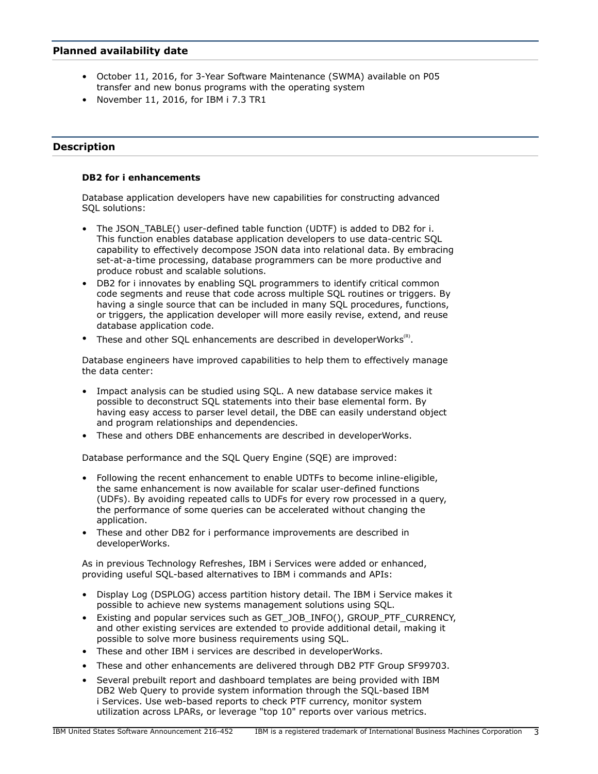# <span id="page-2-0"></span>**Planned availability date**

- October 11, 2016, for 3-Year Software Maintenance (SWMA) available on P05 transfer and new bonus programs with the operating system
- November 11, 2016, for IBM i 7.3 TR1

## <span id="page-2-1"></span>**Description**

## **DB2 for i enhancements**

Database application developers have new capabilities for constructing advanced SQL solutions:

- The JSON TABLE() user-defined table function (UDTF) is added to DB2 for i. This function enables database application developers to use data-centric SQL capability to effectively decompose JSON data into relational data. By embracing set-at-a-time processing, database programmers can be more productive and produce robust and scalable solutions.
- DB2 for i innovates by enabling SQL programmers to identify critical common code segments and reuse that code across multiple SQL routines or triggers. By having a single source that can be included in many SQL procedures, functions, or triggers, the application developer will more easily revise, extend, and reuse database application code.
- These and other SQL enhancements are described in developerWorks ${}^{\text{\tiny(R)}}$ .

Database engineers have improved capabilities to help them to effectively manage the data center:

- Impact analysis can be studied using SQL. A new database service makes it possible to deconstruct SQL statements into their base elemental form. By having easy access to parser level detail, the DBE can easily understand object and program relationships and dependencies.
- These and others DBE enhancements are described in developerWorks.

Database performance and the SQL Query Engine (SQE) are improved:

- Following the recent enhancement to enable UDTFs to become inline-eligible, the same enhancement is now available for scalar user-defined functions (UDFs). By avoiding repeated calls to UDFs for every row processed in a query, the performance of some queries can be accelerated without changing the application.
- These and other DB2 for i performance improvements are described in developerWorks.

As in previous Technology Refreshes, IBM i Services were added or enhanced, providing useful SQL-based alternatives to IBM i commands and APIs:

- Display Log (DSPLOG) access partition history detail. The IBM i Service makes it possible to achieve new systems management solutions using SQL.
- Existing and popular services such as GET\_JOB\_INFO(), GROUP\_PTF\_CURRENCY, and other existing services are extended to provide additional detail, making it possible to solve more business requirements using SQL.
- These and other IBM i services are described in developerWorks.
- These and other enhancements are delivered through DB2 PTF Group SF99703.
- Several prebuilt report and dashboard templates are being provided with IBM DB2 Web Query to provide system information through the SQL-based IBM i Services. Use web-based reports to check PTF currency, monitor system utilization across LPARs, or leverage "top 10" reports over various metrics.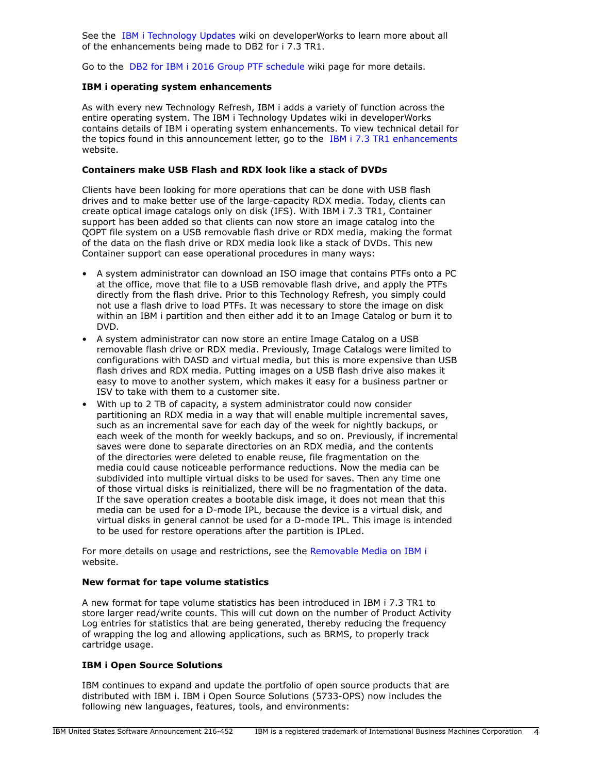See the [IBM i Technology Updates](http://www.ibm.com/developerworks/ibmi/techupdates/db2) wiki on developerWorks to learn more about all of the enhancements being made to DB2 for i 7.3 TR1.

Go to the [DB2 for IBM i 2016 Group PTF schedule](http://www.ibm.com/developerworks/ibmi/techupdates/db2/groupptf) wiki page for more details.

## **IBM i operating system enhancements**

As with every new Technology Refresh, IBM i adds a variety of function across the entire operating system. The IBM i Technology Updates wiki in developerWorks contains details of IBM i operating system enhancements. To view technical detail for the topics found in this announcement letter, go to the [IBM i 7.3 TR1 enhancements](https://www.ibm.com/developerworks/community/wikis/home?lang=en#!/wiki/IBM%20i%20Technology%20Updates/page/IBM%20i%207.3%20-%20TR1%20Enhancements) website.

### **Containers make USB Flash and RDX look like a stack of DVDs**

Clients have been looking for more operations that can be done with USB flash drives and to make better use of the large-capacity RDX media. Today, clients can create optical image catalogs only on disk (IFS). With IBM i 7.3 TR1, Container support has been added so that clients can now store an image catalog into the QOPT file system on a USB removable flash drive or RDX media, making the format of the data on the flash drive or RDX media look like a stack of DVDs. This new Container support can ease operational procedures in many ways:

- A system administrator can download an ISO image that contains PTFs onto a PC at the office, move that file to a USB removable flash drive, and apply the PTFs directly from the flash drive. Prior to this Technology Refresh, you simply could not use a flash drive to load PTFs. It was necessary to store the image on disk within an IBM i partition and then either add it to an Image Catalog or burn it to DVD.
- A system administrator can now store an entire Image Catalog on a USB removable flash drive or RDX media. Previously, Image Catalogs were limited to configurations with DASD and virtual media, but this is more expensive than USB flash drives and RDX media. Putting images on a USB flash drive also makes it easy to move to another system, which makes it easy for a business partner or ISV to take with them to a customer site.
- With up to 2 TB of capacity, a system administrator could now consider partitioning an RDX media in a way that will enable multiple incremental saves, such as an incremental save for each day of the week for nightly backups, or each week of the month for weekly backups, and so on. Previously, if incremental saves were done to separate directories on an RDX media, and the contents of the directories were deleted to enable reuse, file fragmentation on the media could cause noticeable performance reductions. Now the media can be subdivided into multiple virtual disks to be used for saves. Then any time one of those virtual disks is reinitialized, there will be no fragmentation of the data. If the save operation creates a bootable disk image, it does not mean that this media can be used for a D-mode IPL, because the device is a virtual disk, and virtual disks in general cannot be used for a D-mode IPL. This image is intended to be used for restore operations after the partition is IPLed.

For more details on usage and restrictions, see the [Removable Media on IBM i](https://www.ibm.com/developerworks/community/wikis/home?lang=en#/wiki/IBM%20Removable%20Media%20on%20IBM%20i) website.

#### **New format for tape volume statistics**

A new format for tape volume statistics has been introduced in IBM i 7.3 TR1 to store larger read/write counts. This will cut down on the number of Product Activity Log entries for statistics that are being generated, thereby reducing the frequency of wrapping the log and allowing applications, such as BRMS, to properly track cartridge usage.

#### **IBM i Open Source Solutions**

IBM continues to expand and update the portfolio of open source products that are distributed with IBM i. IBM i Open Source Solutions (5733-OPS) now includes the following new languages, features, tools, and environments: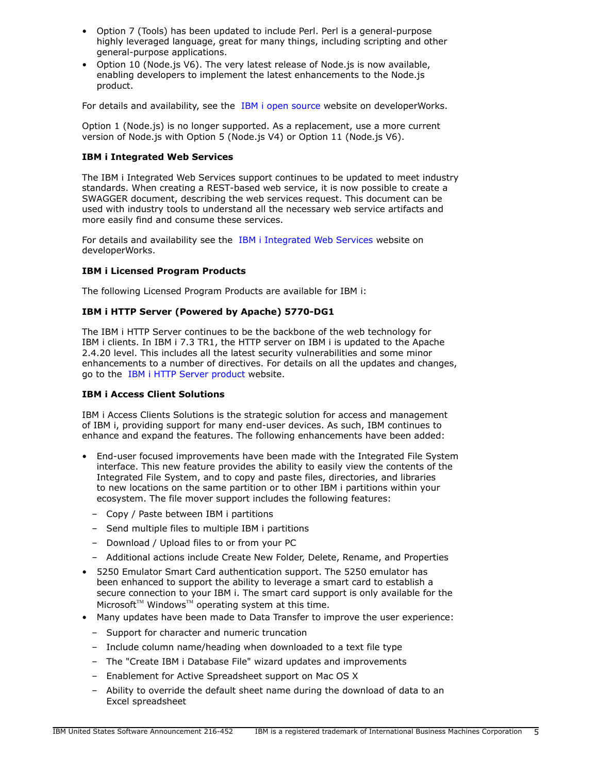- Option 7 (Tools) has been updated to include Perl. Perl is a general-purpose highly leveraged language, great for many things, including scripting and other general-purpose applications.
- Option 10 (Node.js V6). The very latest release of Node.js is now available, enabling developers to implement the latest enhancements to the Node.js product.

For details and availability, see the [IBM i open source](http://www.ibm.com/developerworks/ibmi/techupdates/opensource) website on developerWorks.

Option 1 (Node.js) is no longer supported. As a replacement, use a more current version of Node.js with Option 5 (Node.js V4) or Option 11 (Node.js V6).

#### **IBM i Integrated Web Services**

The IBM i Integrated Web Services support continues to be updated to meet industry standards. When creating a REST-based web service, it is now possible to create a SWAGGER document, describing the web services request. This document can be used with industry tools to understand all the necessary web service artifacts and more easily find and consume these services.

For details and availability see the [IBM i Integrated Web Services](http://www-03.ibm.com/systems/power/software/i/iws/) website on developerWorks.

#### **IBM i Licensed Program Products**

The following Licensed Program Products are available for IBM i:

## **IBM i HTTP Server (Powered by Apache) 5770-DG1**

The IBM i HTTP Server continues to be the backbone of the web technology for IBM i clients. In IBM i 7.3 TR1, the HTTP server on IBM i is updated to the Apache 2.4.20 level. This includes all the latest security vulnerabilities and some minor enhancements to a number of directives. For details on all the updates and changes, go to the [IBM i HTTP Server product](http://www-03.ibm.com/systems/power/software/i/http/) website.

#### **IBM i Access Client Solutions**

IBM i Access Clients Solutions is the strategic solution for access and management of IBM i, providing support for many end-user devices. As such, IBM continues to enhance and expand the features. The following enhancements have been added:

- End-user focused improvements have been made with the Integrated File System interface. This new feature provides the ability to easily view the contents of the Integrated File System, and to copy and paste files, directories, and libraries to new locations on the same partition or to other IBM i partitions within your ecosystem. The file mover support includes the following features:
	- Copy / Paste between IBM i partitions
	- Send multiple files to multiple IBM i partitions
	- Download / Upload files to or from your PC
	- Additional actions include Create New Folder, Delete, Rename, and Properties
- 5250 Emulator Smart Card authentication support. The 5250 emulator has been enhanced to support the ability to leverage a smart card to establish a secure connection to your IBM i. The smart card support is only available for the  $Microsoft^{TM}$  Windows<sup>™</sup> operating system at this time.
- Many updates have been made to Data Transfer to improve the user experience:
	- Support for character and numeric truncation
	- Include column name/heading when downloaded to a text file type
	- The "Create IBM i Database File" wizard updates and improvements
	- Enablement for Active Spreadsheet support on Mac OS X
	- Ability to override the default sheet name during the download of data to an Excel spreadsheet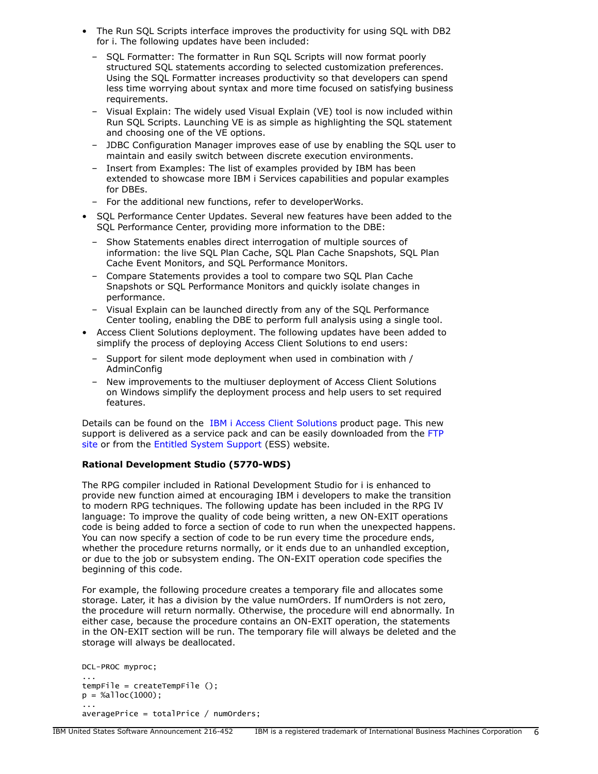- The Run SQL Scripts interface improves the productivity for using SQL with DB2 for i. The following updates have been included:
	- SQL Formatter: The formatter in Run SQL Scripts will now format poorly structured SQL statements according to selected customization preferences. Using the SQL Formatter increases productivity so that developers can spend less time worrying about syntax and more time focused on satisfying business requirements.
	- Visual Explain: The widely used Visual Explain (VE) tool is now included within Run SQL Scripts. Launching VE is as simple as highlighting the SQL statement and choosing one of the VE options.
	- JDBC Configuration Manager improves ease of use by enabling the SQL user to maintain and easily switch between discrete execution environments.
	- Insert from Examples: The list of examples provided by IBM has been extended to showcase more IBM i Services capabilities and popular examples for DBEs.
	- For the additional new functions, refer to developerWorks.
- SQL Performance Center Updates. Several new features have been added to the SQL Performance Center, providing more information to the DBE:
	- Show Statements enables direct interrogation of multiple sources of information: the live SQL Plan Cache, SQL Plan Cache Snapshots, SQL Plan Cache Event Monitors, and SQL Performance Monitors.
	- Compare Statements provides a tool to compare two SQL Plan Cache Snapshots or SQL Performance Monitors and quickly isolate changes in performance.
	- Visual Explain can be launched directly from any of the SQL Performance Center tooling, enabling the DBE to perform full analysis using a single tool.
- Access Client Solutions deployment. The following updates have been added to simplify the process of deploying Access Client Solutions to end users:
	- Support for silent mode deployment when used in combination with / AdminConfig
	- New improvements to the multiuser deployment of Access Client Solutions on Windows simplify the deployment process and help users to set required features.

Details can be found on the [IBM i Access Client Solutions](http://www-03.ibm.com/systems/power/software/i/access/solutions.html) product page. This new support is delivered as a service pack and can be easily downloaded from the [FTP](ftp://public.dhe.ibm.com/as400/products/clientaccess/solutions/updates/) [site](ftp://public.dhe.ibm.com/as400/products/clientaccess/solutions/updates/) or from the [Entitled System Support](http://www-304.ibm.com/servers/eserver/ess/OpenServlet.wss) (ESS) website.

# **Rational Development Studio (5770-WDS)**

The RPG compiler included in Rational Development Studio for i is enhanced to provide new function aimed at encouraging IBM i developers to make the transition to modern RPG techniques. The following update has been included in the RPG IV language: To improve the quality of code being written, a new ON-EXIT operations code is being added to force a section of code to run when the unexpected happens. You can now specify a section of code to be run every time the procedure ends, whether the procedure returns normally, or it ends due to an unhandled exception, or due to the job or subsystem ending. The ON-EXIT operation code specifies the beginning of this code.

For example, the following procedure creates a temporary file and allocates some storage. Later, it has a division by the value numOrders. If numOrders is not zero, the procedure will return normally. Otherwise, the procedure will end abnormally. In either case, because the procedure contains an ON-EXIT operation, the statements in the ON-EXIT section will be run. The temporary file will always be deleted and the storage will always be deallocated.

```
DCL-PROC myproc;
...
tempFile = createTemplate();
p = %a1loc(1000);... 
averagePrice = totalPrice / numOrders;
```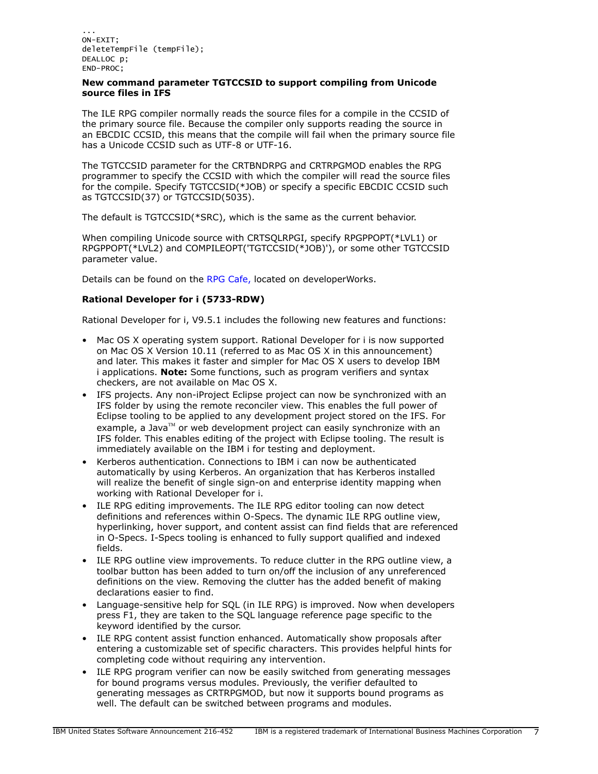## **New command parameter TGTCCSID to support compiling from Unicode source files in IFS**

The ILE RPG compiler normally reads the source files for a compile in the CCSID of the primary source file. Because the compiler only supports reading the source in an EBCDIC CCSID, this means that the compile will fail when the primary source file has a Unicode CCSID such as UTF-8 or UTF-16.

The TGTCCSID parameter for the CRTBNDRPG and CRTRPGMOD enables the RPG programmer to specify the CCSID with which the compiler will read the source files for the compile. Specify TGTCCSID(\*JOB) or specify a specific EBCDIC CCSID such as TGTCCSID(37) or TGTCCSID(5035).

The default is TGTCCSID(\*SRC), which is the same as the current behavior.

When compiling Unicode source with CRTSQLRPGI, specify RPGPPOPT(\*LVL1) or RPGPPOPT(\*LVL2) and COMPILEOPT('TGTCCSID(\*JOB)'), or some other TGTCCSID parameter value.

Details can be found on the [RPG Cafe,](http://www.ibm.com/rational/community/rpg) located on developerWorks.

# **Rational Developer for i (5733-RDW)**

Rational Developer for i, V9.5.1 includes the following new features and functions:

- Mac OS X operating system support. Rational Developer for i is now supported on Mac OS X Version 10.11 (referred to as Mac OS X in this announcement) and later. This makes it faster and simpler for Mac OS X users to develop IBM i applications. **Note:** Some functions, such as program verifiers and syntax checkers, are not available on Mac OS X.
- IFS projects. Any non-iProject Eclipse project can now be synchronized with an IFS folder by using the remote reconciler view. This enables the full power of Eclipse tooling to be applied to any development project stored on the IFS. For example, a Java $T^M$  or web development project can easily synchronize with an IFS folder. This enables editing of the project with Eclipse tooling. The result is immediately available on the IBM i for testing and deployment.
- Kerberos authentication. Connections to IBM i can now be authenticated automatically by using Kerberos. An organization that has Kerberos installed will realize the benefit of single sign-on and enterprise identity mapping when working with Rational Developer for i.
- ILE RPG editing improvements. The ILE RPG editor tooling can now detect definitions and references within O-Specs. The dynamic ILE RPG outline view, hyperlinking, hover support, and content assist can find fields that are referenced in O-Specs. I-Specs tooling is enhanced to fully support qualified and indexed fields.
- ILE RPG outline view improvements. To reduce clutter in the RPG outline view, a toolbar button has been added to turn on/off the inclusion of any unreferenced definitions on the view. Removing the clutter has the added benefit of making declarations easier to find.
- Language-sensitive help for SQL (in ILE RPG) is improved. Now when developers press F1, they are taken to the SQL language reference page specific to the keyword identified by the cursor.
- ILE RPG content assist function enhanced. Automatically show proposals after entering a customizable set of specific characters. This provides helpful hints for completing code without requiring any intervention.
- ILE RPG program verifier can now be easily switched from generating messages for bound programs versus modules. Previously, the verifier defaulted to generating messages as CRTRPGMOD, but now it supports bound programs as well. The default can be switched between programs and modules.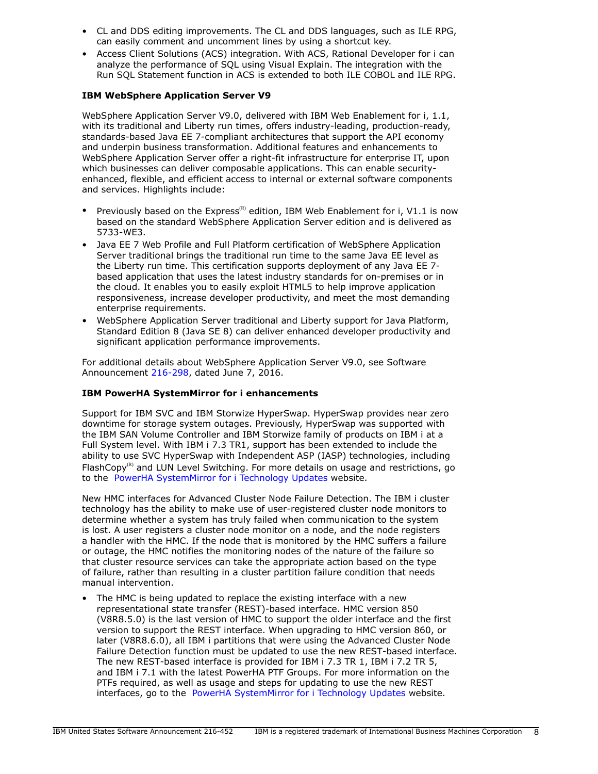- CL and DDS editing improvements. The CL and DDS languages, such as ILE RPG, can easily comment and uncomment lines by using a shortcut key.
- Access Client Solutions (ACS) integration. With ACS, Rational Developer for i can analyze the performance of SQL using Visual Explain. The integration with the Run SQL Statement function in ACS is extended to both ILE COBOL and ILE RPG.

# **IBM WebSphere Application Server V9**

WebSphere Application Server V9.0, delivered with IBM Web Enablement for i, 1.1, with its traditional and Liberty run times, offers industry-leading, production-ready, standards-based Java EE 7-compliant architectures that support the API economy and underpin business transformation. Additional features and enhancements to WebSphere Application Server offer a right-fit infrastructure for enterprise IT, upon which businesses can deliver composable applications. This can enable securityenhanced, flexible, and efficient access to internal or external software components and services. Highlights include:

- Previously based on the Express<sup>(R)</sup> edition, IBM Web Enablement for i, V1.1 is now based on the standard WebSphere Application Server edition and is delivered as 5733-WE3.
- Java EE 7 Web Profile and Full Platform certification of WebSphere Application Server traditional brings the traditional run time to the same Java EE level as the Liberty run time. This certification supports deployment of any Java EE 7 based application that uses the latest industry standards for on-premises or in the cloud. It enables you to easily exploit HTML5 to help improve application responsiveness, increase developer productivity, and meet the most demanding enterprise requirements.
- WebSphere Application Server traditional and Liberty support for Java Platform, Standard Edition 8 (Java SE 8) can deliver enhanced developer productivity and significant application performance improvements.

For additional details about WebSphere Application Server V9.0, see Software Announcement [216-298](http://www.ibm.com/common/ssi/cgi-bin/ssialias?infotype=an&subtype=ca&appname=gpateam&supplier=897&letternum=ENUS216-298), dated June 7, 2016.

#### **IBM PowerHA SystemMirror for i enhancements**

Support for IBM SVC and IBM Storwize HyperSwap. HyperSwap provides near zero downtime for storage system outages. Previously, HyperSwap was supported with the IBM SAN Volume Controller and IBM Storwize family of products on IBM i at a Full System level. With IBM i 7.3 TR1, support has been extended to include the ability to use SVC HyperSwap with Independent ASP (IASP) technologies, including FlashCopy<sup>(R)</sup> and LUN Level Switching. For more details on usage and restrictions, go to the [PowerHA SystemMirror for i Technology Updates](https://www.ibm.com/developerworks/ibmi/techupdates/ha) website.

New HMC interfaces for Advanced Cluster Node Failure Detection. The IBM i cluster technology has the ability to make use of user-registered cluster node monitors to determine whether a system has truly failed when communication to the system is lost. A user registers a cluster node monitor on a node, and the node registers a handler with the HMC. If the node that is monitored by the HMC suffers a failure or outage, the HMC notifies the monitoring nodes of the nature of the failure so that cluster resource services can take the appropriate action based on the type of failure, rather than resulting in a cluster partition failure condition that needs manual intervention.

• The HMC is being updated to replace the existing interface with a new representational state transfer (REST)-based interface. HMC version 850 (V8R8.5.0) is the last version of HMC to support the older interface and the first version to support the REST interface. When upgrading to HMC version 860, or later (V8R8.6.0), all IBM i partitions that were using the Advanced Cluster Node Failure Detection function must be updated to use the new REST-based interface. The new REST-based interface is provided for IBM i 7.3 TR 1, IBM i 7.2 TR 5, and IBM i 7.1 with the latest PowerHA PTF Groups. For more information on the PTFs required, as well as usage and steps for updating to use the new REST interfaces, go to the [PowerHA SystemMirror for i Technology Updates](https://www.ibm.com/developerworks/community/wikis/home?lang=en#%21/wiki/IBM%20PowerHA%20SystemMirror%20for%20i/page/PowerHA%20SystemMirror%20Technology%20Updates) website.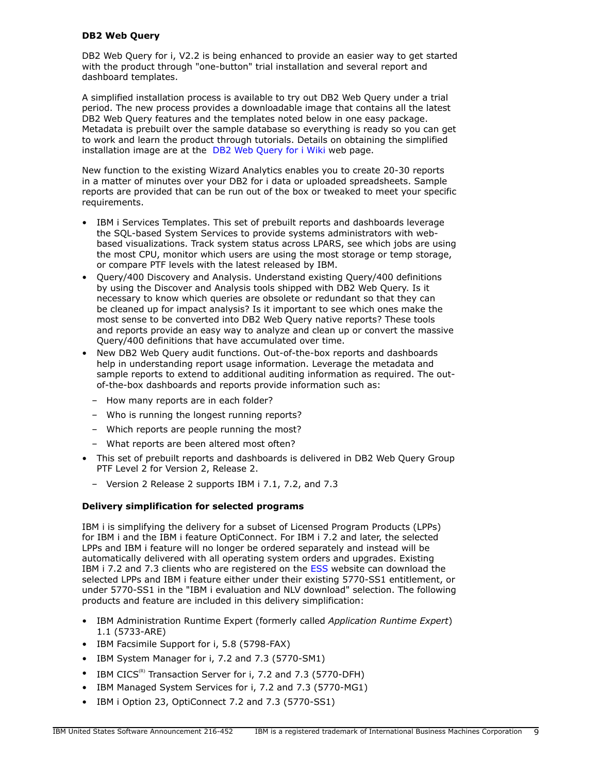## **DB2 Web Query**

DB2 Web Query for i, V2.2 is being enhanced to provide an easier way to get started with the product through "one-button" trial installation and several report and dashboard templates.

A simplified installation process is available to try out DB2 Web Query under a trial period. The new process provides a downloadable image that contains all the latest DB2 Web Query features and the templates noted below in one easy package. Metadata is prebuilt over the sample database so everything is ready so you can get to work and learn the product through tutorials. Details on obtaining the simplified installation image are at the [DB2 Web Query for i Wiki](https://ibm.co/db2wqwiki) web page.

New function to the existing Wizard Analytics enables you to create 20-30 reports in a matter of minutes over your DB2 for i data or uploaded spreadsheets. Sample reports are provided that can be run out of the box or tweaked to meet your specific requirements.

- IBM i Services Templates. This set of prebuilt reports and dashboards leverage the SQL-based System Services to provide systems administrators with webbased visualizations. Track system status across LPARS, see which jobs are using the most CPU, monitor which users are using the most storage or temp storage, or compare PTF levels with the latest released by IBM.
- Query/400 Discovery and Analysis. Understand existing Query/400 definitions by using the Discover and Analysis tools shipped with DB2 Web Query. Is it necessary to know which queries are obsolete or redundant so that they can be cleaned up for impact analysis? Is it important to see which ones make the most sense to be converted into DB2 Web Query native reports? These tools and reports provide an easy way to analyze and clean up or convert the massive Query/400 definitions that have accumulated over time.
- New DB2 Web Query audit functions. Out-of-the-box reports and dashboards help in understanding report usage information. Leverage the metadata and sample reports to extend to additional auditing information as required. The outof-the-box dashboards and reports provide information such as:
	- How many reports are in each folder?
	- Who is running the longest running reports?
	- Which reports are people running the most?
	- What reports are been altered most often?
- This set of prebuilt reports and dashboards is delivered in DB2 Web Query Group PTF Level 2 for Version 2, Release 2.
	- Version 2 Release 2 supports IBM i 7.1, 7.2, and 7.3

#### **Delivery simplification for selected programs**

IBM i is simplifying the delivery for a subset of Licensed Program Products (LPPs) for IBM i and the IBM i feature OptiConnect. For IBM i 7.2 and later, the selected LPPs and IBM i feature will no longer be ordered separately and instead will be automatically delivered with all operating system orders and upgrades. Existing IBM i 7.2 and 7.3 clients who are registered on the [ESS](https://www-304.ibm.com/servers/eserver/ess/ProtectedServlet.wss) website can download the selected LPPs and IBM i feature either under their existing 5770-SS1 entitlement, or under 5770-SS1 in the "IBM i evaluation and NLV download" selection. The following products and feature are included in this delivery simplification:

- IBM Administration Runtime Expert (formerly called *Application Runtime Expert*) 1.1 (5733-ARE)
- IBM Facsimile Support for i, 5.8 (5798-FAX)
- IBM System Manager for i, 7.2 and 7.3 (5770-SM1)
- IBM CICS<sup>(R)</sup> Transaction Server for i, 7.2 and 7.3 (5770-DFH)
- IBM Managed System Services for i, 7.2 and 7.3 (5770-MG1)
- IBM i Option 23, OptiConnect 7.2 and 7.3 (5770-SS1)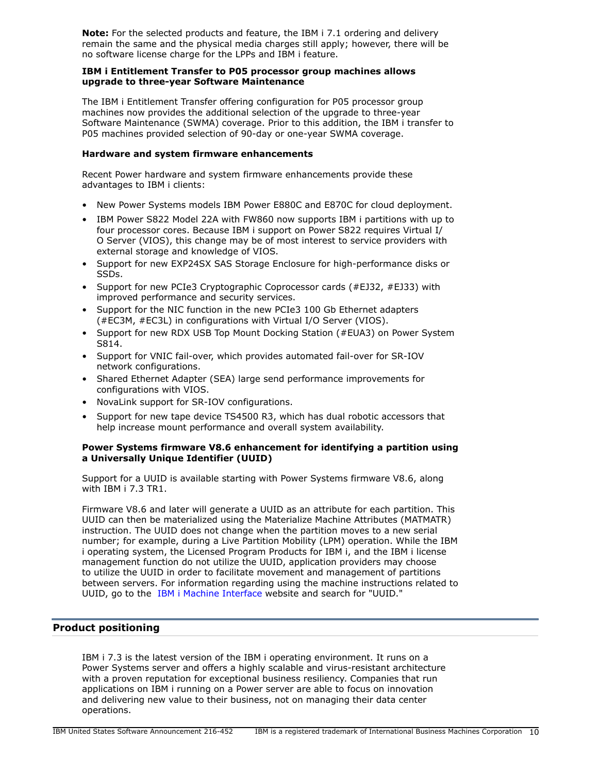**Note:** For the selected products and feature, the IBM i 7.1 ordering and delivery remain the same and the physical media charges still apply; however, there will be no software license charge for the LPPs and IBM i feature.

## **IBM i Entitlement Transfer to P05 processor group machines allows upgrade to three-year Software Maintenance**

The IBM i Entitlement Transfer offering configuration for P05 processor group machines now provides the additional selection of the upgrade to three-year Software Maintenance (SWMA) coverage. Prior to this addition, the IBM i transfer to P05 machines provided selection of 90-day or one-year SWMA coverage.

## **Hardware and system firmware enhancements**

Recent Power hardware and system firmware enhancements provide these advantages to IBM i clients:

- New Power Systems models IBM Power E880C and E870C for cloud deployment.
- IBM Power S822 Model 22A with FW860 now supports IBM i partitions with up to four processor cores. Because IBM i support on Power S822 requires Virtual I/ O Server (VIOS), this change may be of most interest to service providers with external storage and knowledge of VIOS.
- Support for new EXP24SX SAS Storage Enclosure for high-performance disks or SSDs.
- Support for new PCIe3 Cryptographic Coprocessor cards (#EJ32, #EJ33) with improved performance and security services.
- Support for the NIC function in the new PCIe3 100 Gb Ethernet adapters (#EC3M, #EC3L) in configurations with Virtual I/O Server (VIOS).
- Support for new RDX USB Top Mount Docking Station (#EUA3) on Power System S814.
- Support for VNIC fail-over, which provides automated fail-over for SR-IOV network configurations.
- Shared Ethernet Adapter (SEA) large send performance improvements for configurations with VIOS.
- NovaLink support for SR-IOV configurations.
- Support for new tape device TS4500 R3, which has dual robotic accessors that help increase mount performance and overall system availability.

## **Power Systems firmware V8.6 enhancement for identifying a partition using a Universally Unique Identifier (UUID)**

Support for a UUID is available starting with Power Systems firmware V8.6, along with IBM i 7.3 TR1.

Firmware V8.6 and later will generate a UUID as an attribute for each partition. This UUID can then be materialized using the Materialize Machine Attributes (MATMATR) instruction. The UUID does not change when the partition moves to a new serial number; for example, during a Live Partition Mobility (LPM) operation. While the IBM i operating system, the Licensed Program Products for IBM i, and the IBM i license management function do not utilize the UUID, application providers may choose to utilize the UUID in order to facilitate movement and management of partitions between servers. For information regarding using the machine instructions related to UUID, go to the [IBM i Machine Interface](http://www.ibm.com/support/knowledgecenter/ssw_ibm_i_73/rzatk/mitoc.htm) website and search for "UUID."

# <span id="page-9-0"></span>**Product positioning**

IBM i 7.3 is the latest version of the IBM i operating environment. It runs on a Power Systems server and offers a highly scalable and virus-resistant architecture with a proven reputation for exceptional business resiliency. Companies that run applications on IBM i running on a Power server are able to focus on innovation and delivering new value to their business, not on managing their data center operations.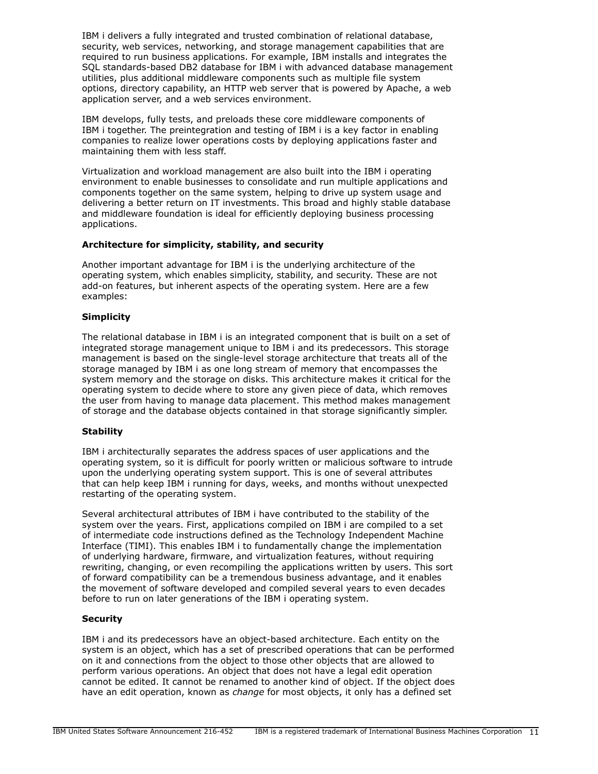IBM i delivers a fully integrated and trusted combination of relational database, security, web services, networking, and storage management capabilities that are required to run business applications. For example, IBM installs and integrates the SQL standards-based DB2 database for IBM i with advanced database management utilities, plus additional middleware components such as multiple file system options, directory capability, an HTTP web server that is powered by Apache, a web application server, and a web services environment.

IBM develops, fully tests, and preloads these core middleware components of IBM i together. The preintegration and testing of IBM i is a key factor in enabling companies to realize lower operations costs by deploying applications faster and maintaining them with less staff.

Virtualization and workload management are also built into the IBM i operating environment to enable businesses to consolidate and run multiple applications and components together on the same system, helping to drive up system usage and delivering a better return on IT investments. This broad and highly stable database and middleware foundation is ideal for efficiently deploying business processing applications.

## **Architecture for simplicity, stability, and security**

Another important advantage for IBM i is the underlying architecture of the operating system, which enables simplicity, stability, and security. These are not add-on features, but inherent aspects of the operating system. Here are a few examples:

## **Simplicity**

The relational database in IBM i is an integrated component that is built on a set of integrated storage management unique to IBM i and its predecessors. This storage management is based on the single-level storage architecture that treats all of the storage managed by IBM i as one long stream of memory that encompasses the system memory and the storage on disks. This architecture makes it critical for the operating system to decide where to store any given piece of data, which removes the user from having to manage data placement. This method makes management of storage and the database objects contained in that storage significantly simpler.

#### **Stability**

IBM i architecturally separates the address spaces of user applications and the operating system, so it is difficult for poorly written or malicious software to intrude upon the underlying operating system support. This is one of several attributes that can help keep IBM i running for days, weeks, and months without unexpected restarting of the operating system.

Several architectural attributes of IBM i have contributed to the stability of the system over the years. First, applications compiled on IBM i are compiled to a set of intermediate code instructions defined as the Technology Independent Machine Interface (TIMI). This enables IBM i to fundamentally change the implementation of underlying hardware, firmware, and virtualization features, without requiring rewriting, changing, or even recompiling the applications written by users. This sort of forward compatibility can be a tremendous business advantage, and it enables the movement of software developed and compiled several years to even decades before to run on later generations of the IBM i operating system.

# **Security**

IBM i and its predecessors have an object-based architecture. Each entity on the system is an object, which has a set of prescribed operations that can be performed on it and connections from the object to those other objects that are allowed to perform various operations. An object that does not have a legal edit operation cannot be edited. It cannot be renamed to another kind of object. If the object does have an edit operation, known as *change* for most objects, it only has a defined set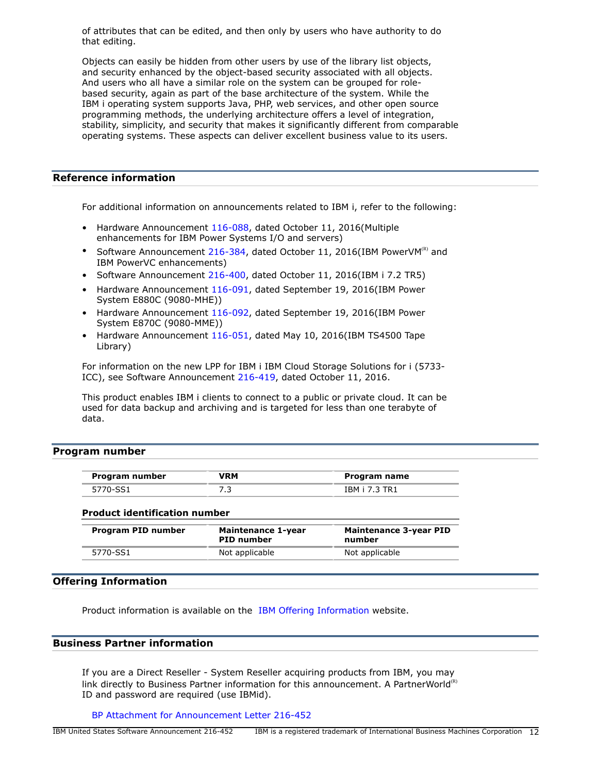of attributes that can be edited, and then only by users who have authority to do that editing.

Objects can easily be hidden from other users by use of the library list objects, and security enhanced by the object-based security associated with all objects. And users who all have a similar role on the system can be grouped for rolebased security, again as part of the base architecture of the system. While the IBM i operating system supports Java, PHP, web services, and other open source programming methods, the underlying architecture offers a level of integration, stability, simplicity, and security that makes it significantly different from comparable operating systems. These aspects can deliver excellent business value to its users.

# **Reference information**

For additional information on announcements related to IBM i, refer to the following:

- Hardware Announcement [116-088,](http://www.ibm.com/common/ssi/cgi-bin/ssialias?infotype=an&subtype=ca&appname=gpateam&supplier=897&letternum=ENUS116-088) dated October 11, 2016(Multiple enhancements for IBM Power Systems I/O and servers)
- Software Announcement [216-384,](http://www.ibm.com/common/ssi/cgi-bin/ssialias?infotype=an&subtype=ca&appname=gpateam&supplier=897&letternum=ENUS216-384) dated October 11, 2016(IBM PowerVM $^{(R)}$  and IBM PowerVC enhancements)
- Software Announcement [216-400,](http://www.ibm.com/common/ssi/cgi-bin/ssialias?infotype=an&subtype=ca&appname=gpateam&supplier=897&letternum=ENUS216-400) dated October 11, 2016(IBM i 7.2 TR5)
- Hardware Announcement [116-091,](http://www.ibm.com/common/ssi/cgi-bin/ssialias?infotype=an&subtype=ca&appname=gpateam&supplier=897&letternum=ENUS116-091) dated September 19, 2016(IBM Power System E880C (9080-MHE))
- Hardware Announcement [116-092,](http://www.ibm.com/common/ssi/cgi-bin/ssialias?infotype=an&subtype=ca&appname=gpateam&supplier=897&letternum=ENUS116-092) dated September 19, 2016(IBM Power System E870C (9080-MME))
- Hardware Announcement [116-051,](http://www.ibm.com/common/ssi/cgi-bin/ssialias?infotype=an&subtype=ca&appname=gpateam&supplier=897&letternum=ENUS116-051) dated May 10, 2016(IBM TS4500 Tape Library)

For information on the new LPP for IBM i IBM Cloud Storage Solutions for i (5733- ICC), see Software Announcement [216-419](http://www.ibm.com/common/ssi/cgi-bin/ssialias?infotype=an&subtype=ca&appname=gpateam&supplier=897&letternum=ENUS216-419), dated October 11, 2016.

This product enables IBM i clients to connect to a public or private cloud. It can be used for data backup and archiving and is targeted for less than one terabyte of data.

## <span id="page-11-0"></span>**Program number**

| Program number | /RM | Program name  |
|----------------|-----|---------------|
| 5770-SS1       |     | IBM i 7.3 TR1 |

#### **Product identification number**

| Program PID number | Maintenance 1-year<br><b>PID number</b> | <b>Maintenance 3-year PID</b><br>number |
|--------------------|-----------------------------------------|-----------------------------------------|
| 5770-SS1           | Not applicable                          | Not applicable                          |

# **Offering Information**

Product information is available on the [IBM Offering Information](http://www.ibm.com/common/ssi) website.

## **Business Partner information**

If you are a Direct Reseller - System Reseller acquiring products from IBM, you may link directly to Business Partner information for this announcement. A PartnerWorld<sup>(R)</sup> ID and password are required (use IBMid).

[BP Attachment for Announcement Letter 216-452](https://www.ibm.com/partnerworld/mem/sla.jsp?num=216-452)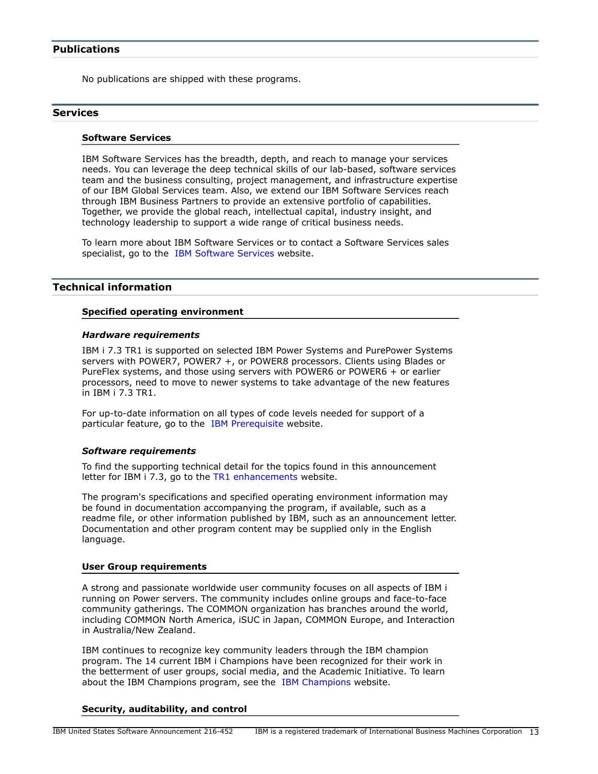## <span id="page-12-0"></span>**Publications**

No publications are shipped with these programs.

## **Services**

#### **Software Services**

IBM Software Services has the breadth, depth, and reach to manage your services needs. You can leverage the deep technical skills of our lab-based, software services team and the business consulting, project management, and infrastructure expertise of our IBM Global Services team. Also, we extend our IBM Software Services reach through IBM Business Partners to provide an extensive portfolio of capabilities. Together, we provide the global reach, intellectual capital, industry insight, and technology leadership to support a wide range of critical business needs.

To learn more about IBM Software Services or to contact a Software Services sales specialist, go to the [IBM Software Services](http://www.ibm.com/software/sw-services/) website.

#### <span id="page-12-1"></span>**Technical information**

#### **Specified operating environment**

#### *Hardware requirements*

IBM i 7.3 TR1 is supported on selected IBM Power Systems and PurePower Systems servers with POWER7, POWER7 +, or POWER8 processors. Clients using Blades or PureFlex systems, and those using servers with POWER6 or POWER6 + or earlier processors, need to move to newer systems to take advantage of the new features in IBM i 7.3 TR1.

For up-to-date information on all types of code levels needed for support of a particular feature, go to the [IBM Prerequisite](https://www-912.ibm.com/e_dir/eServerPrereq.nsf) website.

#### *Software requirements*

To find the supporting technical detail for the topics found in this announcement letter for IBM i 7.3, go to the [TR1 enhancements](http://www.ibm.com/developerworks/ibmi/techupdates/i73-TR1) website.

The program's specifications and specified operating environment information may be found in documentation accompanying the program, if available, such as a readme file, or other information published by IBM, such as an announcement letter. Documentation and other program content may be supplied only in the English language.

#### **User Group requirements**

A strong and passionate worldwide user community focuses on all aspects of IBM i running on Power servers. The community includes online groups and face-to-face community gatherings. The COMMON organization has branches around the world, including COMMON North America, iSUC in Japan, COMMON Europe, and Interaction in Australia/New Zealand.

IBM continues to recognize key community leaders through the IBM champion program. The 14 current IBM i Champions have been recognized for their work in the betterment of user groups, social media, and the Academic Initiative. To learn about the [IBM Champions](https://www.ibm.com/developerworks/champion/) program, see the IBM Champions website.

#### **Security, auditability, and control**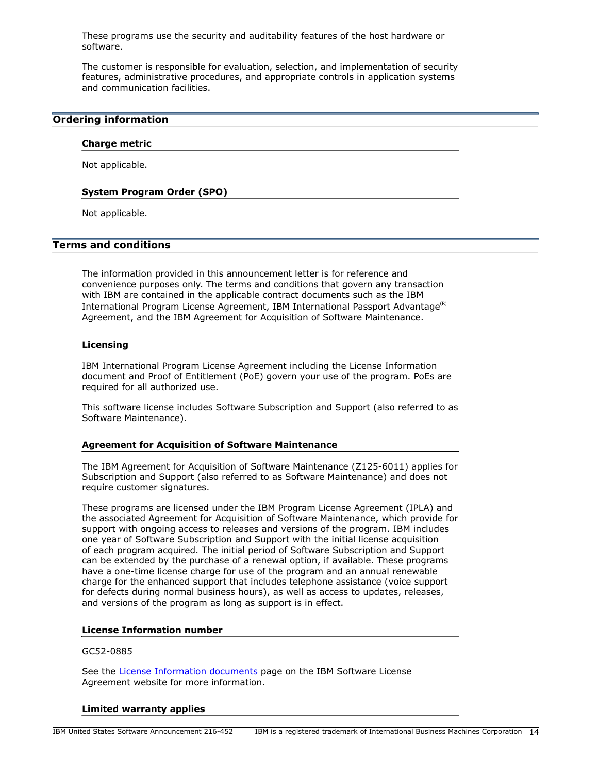These programs use the security and auditability features of the host hardware or software.

The customer is responsible for evaluation, selection, and implementation of security features, administrative procedures, and appropriate controls in application systems and communication facilities.

# <span id="page-13-0"></span>**Ordering information**

#### **Charge metric**

Not applicable.

#### **System Program Order (SPO)**

Not applicable.

#### <span id="page-13-1"></span>**Terms and conditions**

The information provided in this announcement letter is for reference and convenience purposes only. The terms and conditions that govern any transaction with IBM are contained in the applicable contract documents such as the IBM International Program License Agreement, IBM International Passport Advantage<sup>(R)</sup> Agreement, and the IBM Agreement for Acquisition of Software Maintenance.

#### **Licensing**

IBM International Program License Agreement including the License Information document and Proof of Entitlement (PoE) govern your use of the program. PoEs are required for all authorized use.

This software license includes Software Subscription and Support (also referred to as Software Maintenance).

#### **Agreement for Acquisition of Software Maintenance**

The IBM Agreement for Acquisition of Software Maintenance (Z125-6011) applies for Subscription and Support (also referred to as Software Maintenance) and does not require customer signatures.

These programs are licensed under the IBM Program License Agreement (IPLA) and the associated Agreement for Acquisition of Software Maintenance, which provide for support with ongoing access to releases and versions of the program. IBM includes one year of Software Subscription and Support with the initial license acquisition of each program acquired. The initial period of Software Subscription and Support can be extended by the purchase of a renewal option, if available. These programs have a one-time license charge for use of the program and an annual renewable charge for the enhanced support that includes telephone assistance (voice support for defects during normal business hours), as well as access to updates, releases, and versions of the program as long as support is in effect.

## **License Information number**

#### GC52-0885

See the [License Information documents](http://www.ibm.com/software/sla/sladb.nsf) page on the IBM Software License Agreement website for more information.

#### **Limited warranty applies**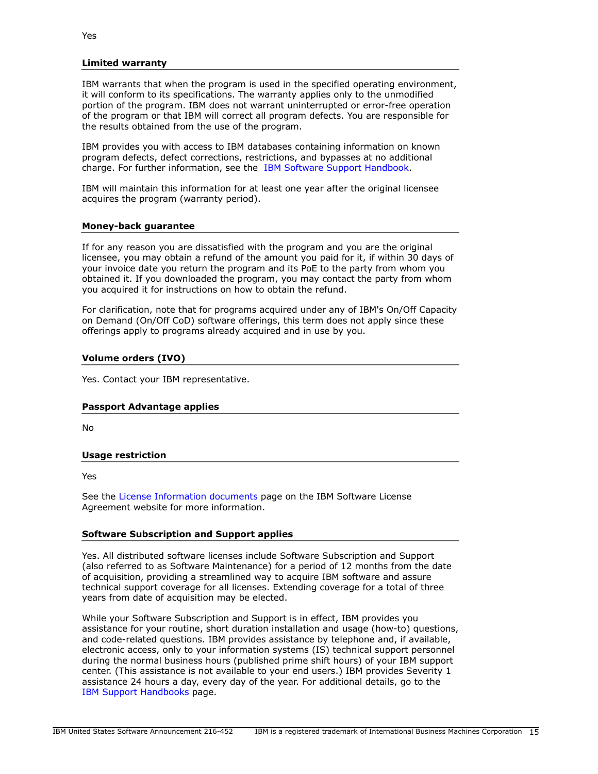#### **Limited warranty**

IBM warrants that when the program is used in the specified operating environment, it will conform to its specifications. The warranty applies only to the unmodified portion of the program. IBM does not warrant uninterrupted or error-free operation of the program or that IBM will correct all program defects. You are responsible for the results obtained from the use of the program.

IBM provides you with access to IBM databases containing information on known program defects, defect corrections, restrictions, and bypasses at no additional charge. For further information, see the [IBM Software Support Handbook.](http://www.ibm.com/support/customercare/sas/f/handbook/home.html)

IBM will maintain this information for at least one year after the original licensee acquires the program (warranty period).

#### **Money-back guarantee**

If for any reason you are dissatisfied with the program and you are the original licensee, you may obtain a refund of the amount you paid for it, if within 30 days of your invoice date you return the program and its PoE to the party from whom you obtained it. If you downloaded the program, you may contact the party from whom you acquired it for instructions on how to obtain the refund.

For clarification, note that for programs acquired under any of IBM's On/Off Capacity on Demand (On/Off CoD) software offerings, this term does not apply since these offerings apply to programs already acquired and in use by you.

#### **Volume orders (IVO)**

Yes. Contact your IBM representative.

#### **Passport Advantage applies**

No

#### **Usage restriction**

Yes

See the [License Information documents](http://www.ibm.com/software/sla/sladb.nsf) page on the IBM Software License Agreement website for more information.

#### **Software Subscription and Support applies**

Yes. All distributed software licenses include Software Subscription and Support (also referred to as Software Maintenance) for a period of 12 months from the date of acquisition, providing a streamlined way to acquire IBM software and assure technical support coverage for all licenses. Extending coverage for a total of three years from date of acquisition may be elected.

While your Software Subscription and Support is in effect, IBM provides you assistance for your routine, short duration installation and usage (how-to) questions, and code-related questions. IBM provides assistance by telephone and, if available, electronic access, only to your information systems (IS) technical support personnel during the normal business hours (published prime shift hours) of your IBM support center. (This assistance is not available to your end users.) IBM provides Severity 1 assistance 24 hours a day, every day of the year. For additional details, go to the [IBM Support Handbooks](http://www.ibm.com/support/handbook) page.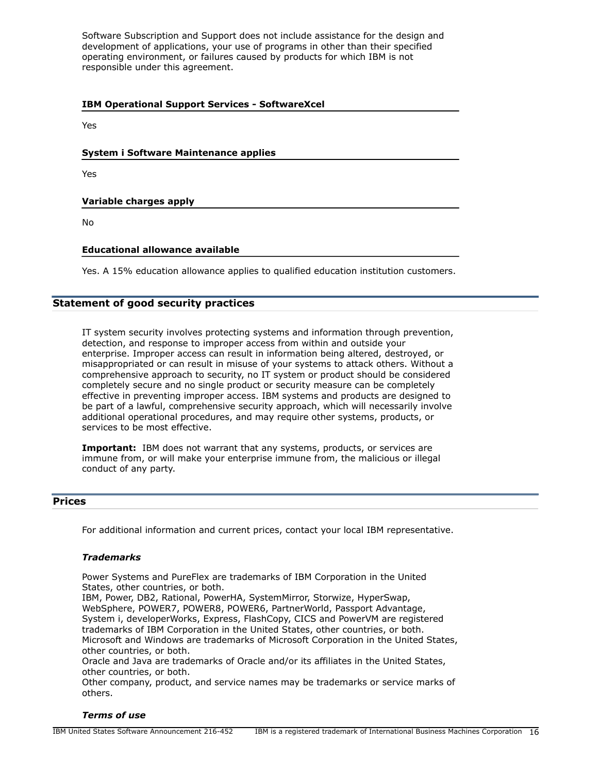Software Subscription and Support does not include assistance for the design and development of applications, your use of programs in other than their specified operating environment, or failures caused by products for which IBM is not responsible under this agreement.

| <b>IBM Operational Support Services - SoftwareXcel</b> |  |  |
|--------------------------------------------------------|--|--|
| Yes                                                    |  |  |
| System i Software Maintenance applies                  |  |  |
| Yes                                                    |  |  |
| Variable charges apply                                 |  |  |
| No                                                     |  |  |

## **Educational allowance available**

Yes. A 15% education allowance applies to qualified education institution customers.

# **Statement of good security practices**

IT system security involves protecting systems and information through prevention, detection, and response to improper access from within and outside your enterprise. Improper access can result in information being altered, destroyed, or misappropriated or can result in misuse of your systems to attack others. Without a comprehensive approach to security, no IT system or product should be considered completely secure and no single product or security measure can be completely effective in preventing improper access. IBM systems and products are designed to be part of a lawful, comprehensive security approach, which will necessarily involve additional operational procedures, and may require other systems, products, or services to be most effective.

**Important:** IBM does not warrant that any systems, products, or services are immune from, or will make your enterprise immune from, the malicious or illegal conduct of any party.

## <span id="page-15-0"></span>**Prices**

For additional information and current prices, contact your local IBM representative.

#### *Trademarks*

Power Systems and PureFlex are trademarks of IBM Corporation in the United States, other countries, or both.

IBM, Power, DB2, Rational, PowerHA, SystemMirror, Storwize, HyperSwap, WebSphere, POWER7, POWER8, POWER6, PartnerWorld, Passport Advantage, System i, developerWorks, Express, FlashCopy, CICS and PowerVM are registered trademarks of IBM Corporation in the United States, other countries, or both. Microsoft and Windows are trademarks of Microsoft Corporation in the United States, other countries, or both.

Oracle and Java are trademarks of Oracle and/or its affiliates in the United States, other countries, or both.

Other company, product, and service names may be trademarks or service marks of others.

## *Terms of use*